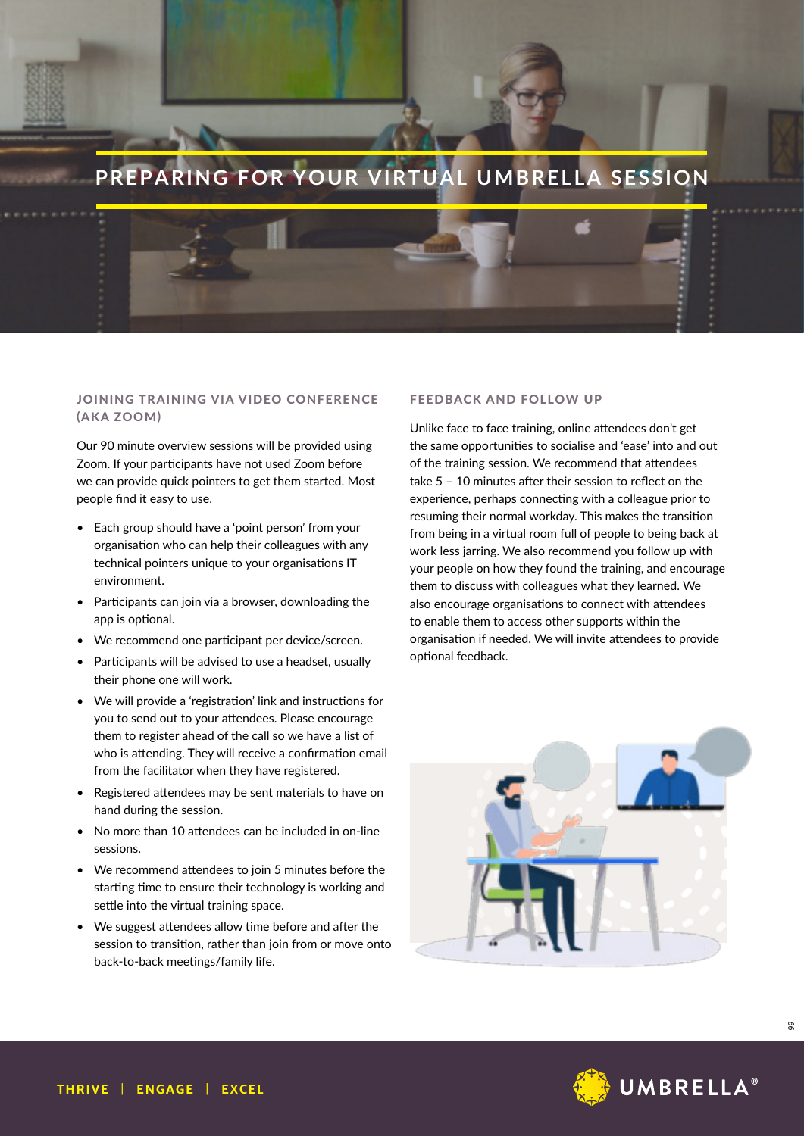

## JOINING TRAINING VIA VIDEO CONFERENCE (AKA ZOOM)

Our 90 minute overview sessions will be provided using Zoom. If your participants have not used Zoom before we can provide quick pointers to get them started. Most people find it easy to use.

- Each group should have a 'point person' from your organisation who can help their colleagues with any technical pointers unique to your organisations IT environment.
- Participants can join via a browser, downloading the app is optional.
- We recommend one participant per device/screen.
- Participants will be advised to use a headset, usually their phone one will work.
- We will provide a 'registration' link and instructions for you to send out to your attendees. Please encourage them to register ahead of the call so we have a list of who is attending. They will receive a confirmation email from the facilitator when they have registered.
- Registered attendees may be sent materials to have on hand during the session.
- No more than 10 attendees can be included in on-line sessions.
- We recommend attendees to join 5 minutes before the starting time to ensure their technology is working and settle into the virtual training space.
- We suggest attendees allow time before and after the session to transition, rather than join from or move onto back-to-back meetings/family life.

#### FEEDBACK AND FOLLOW UP

Unlike face to face training, online attendees don't get the same opportunities to socialise and 'ease' into and out of the training session. We recommend that attendees take 5 – 10 minutes after their session to reflect on the experience, perhaps connecting with a colleague prior to resuming their normal workday. This makes the transition from being in a virtual room full of people to being back at work less jarring. We also recommend you follow up with your people on how they found the training, and encourage them to discuss with colleagues what they learned. We also encourage organisations to connect with attendees to enable them to access other supports within the organisation if needed. We will invite attendees to provide optional feedback.